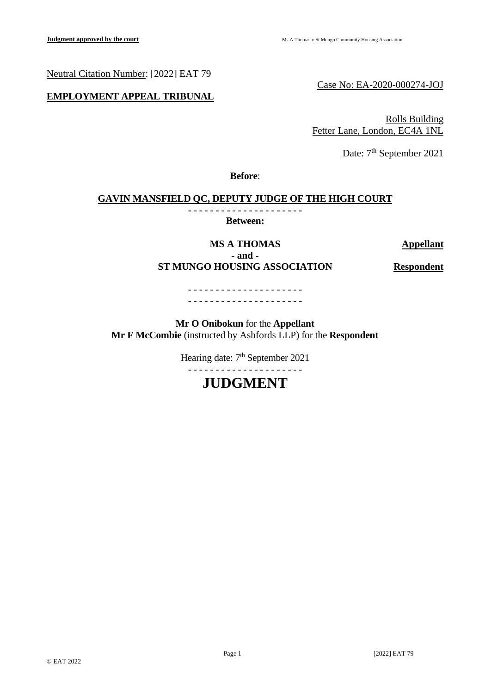Neutral Citation Number: [2022] EAT 79

## **EMPLOYMENT APPEAL TRIBUNAL**

Case No: EA-2020-000274-JOJ

Rolls Building Fetter Lane, London, EC4A 1NL

Date: 7<sup>th</sup> September 2021

**Before**:

## **GAVIN MANSFIELD QC, DEPUTY JUDGE OF THE HIGH COURT**

- - - - - - - - - - - - - - - - - - - - - **Between:**

**MS A THOMAS Appellant - and - ST MUNGO HOUSING ASSOCIATION Respondent**

### - - - - - - - - - - - - - - - - - - - - - - - - - - - - - - - - - - - - - - - - - -

**Mr O Onibokun** for the **Appellant Mr F McCombie** (instructed by Ashfords LLP) for the **Respondent**

Hearing date:  $7<sup>th</sup>$  September 2021

# - - - - - - - - - - - - - - - - - - - - -

# **JUDGMENT**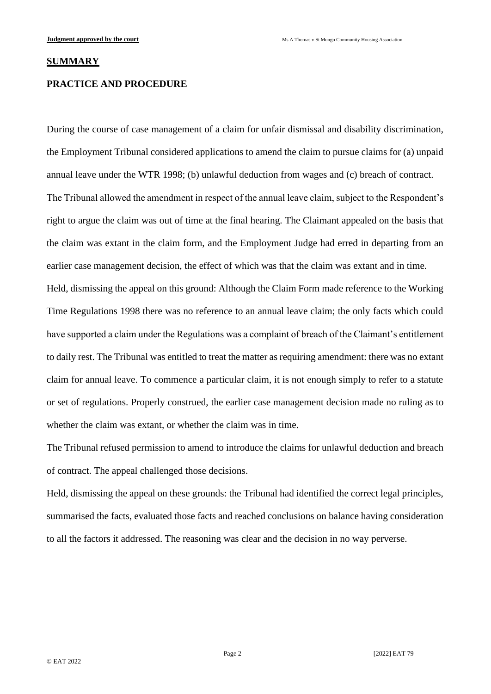#### **SUMMARY**

#### **PRACTICE AND PROCEDURE**

During the course of case management of a claim for unfair dismissal and disability discrimination, the Employment Tribunal considered applications to amend the claim to pursue claims for (a) unpaid annual leave under the WTR 1998; (b) unlawful deduction from wages and (c) breach of contract. The Tribunal allowed the amendment in respect of the annual leave claim, subject to the Respondent's right to argue the claim was out of time at the final hearing. The Claimant appealed on the basis that the claim was extant in the claim form, and the Employment Judge had erred in departing from an earlier case management decision, the effect of which was that the claim was extant and in time. Held, dismissing the appeal on this ground: Although the Claim Form made reference to the Working Time Regulations 1998 there was no reference to an annual leave claim; the only facts which could have supported a claim under the Regulations was a complaint of breach of the Claimant's entitlement to daily rest. The Tribunal was entitled to treat the matter as requiring amendment: there was no extant claim for annual leave. To commence a particular claim, it is not enough simply to refer to a statute or set of regulations. Properly construed, the earlier case management decision made no ruling as to whether the claim was extant, or whether the claim was in time.

The Tribunal refused permission to amend to introduce the claims for unlawful deduction and breach of contract. The appeal challenged those decisions.

Held, dismissing the appeal on these grounds: the Tribunal had identified the correct legal principles, summarised the facts, evaluated those facts and reached conclusions on balance having consideration to all the factors it addressed. The reasoning was clear and the decision in no way perverse.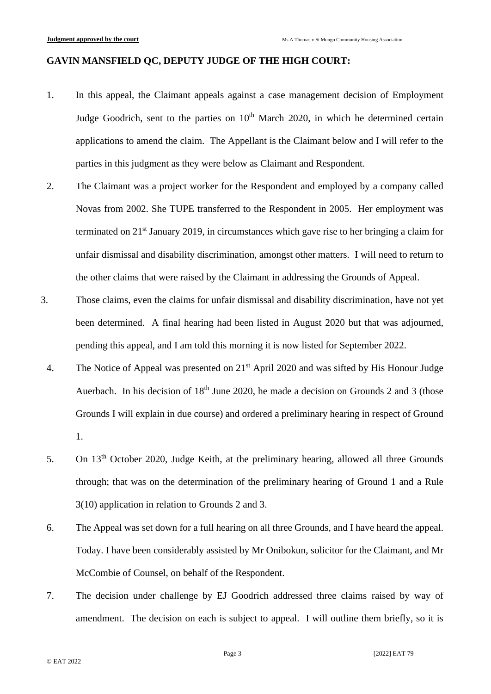## **GAVIN MANSFIELD QC, DEPUTY JUDGE OF THE HIGH COURT:**

- 1. In this appeal, the Claimant appeals against a case management decision of Employment Judge Goodrich, sent to the parties on 10<sup>th</sup> March 2020, in which he determined certain applications to amend the claim. The Appellant is the Claimant below and I will refer to the parties in this judgment as they were below as Claimant and Respondent.
- 2. The Claimant was a project worker for the Respondent and employed by a company called Novas from 2002. She TUPE transferred to the Respondent in 2005. Her employment was terminated on  $21<sup>st</sup>$  January 2019, in circumstances which gave rise to her bringing a claim for unfair dismissal and disability discrimination, amongst other matters. I will need to return to the other claims that were raised by the Claimant in addressing the Grounds of Appeal.
- 3. Those claims, even the claims for unfair dismissal and disability discrimination, have not yet been determined. A final hearing had been listed in August 2020 but that was adjourned, pending this appeal, and I am told this morning it is now listed for September 2022.
	- 4. The Notice of Appeal was presented on 21<sup>st</sup> April 2020 and was sifted by His Honour Judge Auerbach. In his decision of  $18<sup>th</sup>$  June 2020, he made a decision on Grounds 2 and 3 (those Grounds I will explain in due course) and ordered a preliminary hearing in respect of Ground 1.
	- 5. On 13<sup>th</sup> October 2020, Judge Keith, at the preliminary hearing, allowed all three Grounds through; that was on the determination of the preliminary hearing of Ground 1 and a Rule 3(10) application in relation to Grounds 2 and 3.
	- 6. The Appeal was set down for a full hearing on all three Grounds, and I have heard the appeal. Today. I have been considerably assisted by Mr Onibokun, solicitor for the Claimant, and Mr McCombie of Counsel, on behalf of the Respondent.
	- 7. The decision under challenge by EJ Goodrich addressed three claims raised by way of amendment. The decision on each is subject to appeal. I will outline them briefly, so it is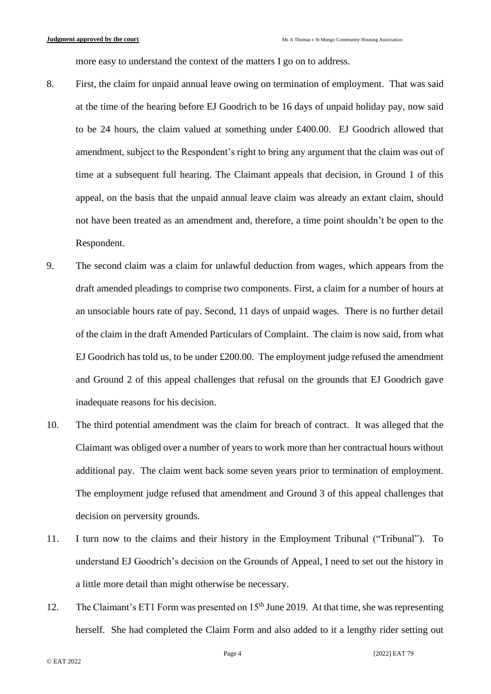more easy to understand the context of the matters I go on to address.

- 8. First, the claim for unpaid annual leave owing on termination of employment. That was said at the time of the hearing before EJ Goodrich to be 16 days of unpaid holiday pay, now said to be 24 hours, the claim valued at something under £400.00. EJ Goodrich allowed that amendment, subject to the Respondent's right to bring any argument that the claim was out of time at a subsequent full hearing. The Claimant appeals that decision, in Ground 1 of this appeal, on the basis that the unpaid annual leave claim was already an extant claim, should not have been treated as an amendment and, therefore, a time point shouldn't be open to the Respondent.
- 9. The second claim was a claim for unlawful deduction from wages, which appears from the draft amended pleadings to comprise two components. First, a claim for a number of hours at an unsociable hours rate of pay. Second, 11 days of unpaid wages. There is no further detail of the claim in the draft Amended Particulars of Complaint. The claim is now said, from what EJ Goodrich has told us, to be under £200.00. The employment judge refused the amendment and Ground 2 of this appeal challenges that refusal on the grounds that EJ Goodrich gave inadequate reasons for his decision.
- 10. The third potential amendment was the claim for breach of contract. It was alleged that the Claimant was obliged over a number of years to work more than her contractual hours without additional pay. The claim went back some seven years prior to termination of employment. The employment judge refused that amendment and Ground 3 of this appeal challenges that decision on perversity grounds.
- 11. I turn now to the claims and their history in the Employment Tribunal ("Tribunal"). To understand EJ Goodrich's decision on the Grounds of Appeal, I need to set out the history in a little more detail than might otherwise be necessary.
- 12. The Claimant's ET1 Form was presented on 15<sup>th</sup> June 2019. At that time, she was representing herself. She had completed the Claim Form and also added to it a lengthy rider setting out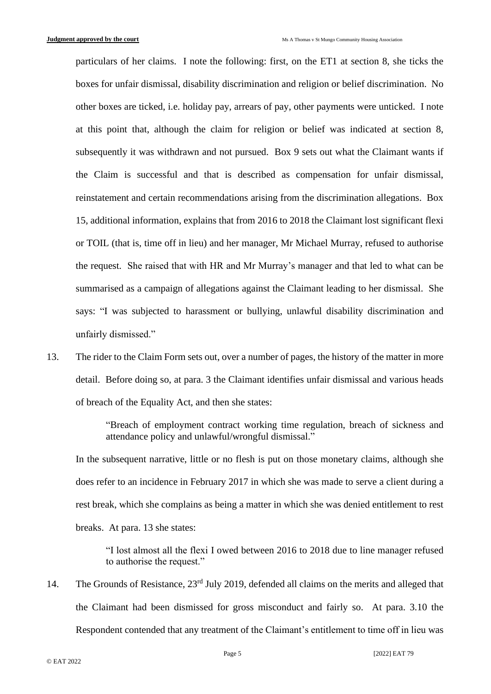particulars of her claims. I note the following: first, on the ET1 at section 8, she ticks the boxes for unfair dismissal, disability discrimination and religion or belief discrimination. No other boxes are ticked, i.e. holiday pay, arrears of pay, other payments were unticked. I note at this point that, although the claim for religion or belief was indicated at section 8, subsequently it was withdrawn and not pursued. Box 9 sets out what the Claimant wants if the Claim is successful and that is described as compensation for unfair dismissal, reinstatement and certain recommendations arising from the discrimination allegations. Box 15, additional information, explains that from 2016 to 2018 the Claimant lost significant flexi or TOIL (that is, time off in lieu) and her manager, Mr Michael Murray, refused to authorise the request. She raised that with HR and Mr Murray's manager and that led to what can be summarised as a campaign of allegations against the Claimant leading to her dismissal. She says: "I was subjected to harassment or bullying, unlawful disability discrimination and unfairly dismissed."

13. The rider to the Claim Form sets out, over a number of pages, the history of the matter in more detail. Before doing so, at para. 3 the Claimant identifies unfair dismissal and various heads of breach of the Equality Act, and then she states:

> "Breach of employment contract working time regulation, breach of sickness and attendance policy and unlawful/wrongful dismissal."

In the subsequent narrative, little or no flesh is put on those monetary claims, although she does refer to an incidence in February 2017 in which she was made to serve a client during a rest break, which she complains as being a matter in which she was denied entitlement to rest breaks. At para. 13 she states:

"I lost almost all the flexi I owed between 2016 to 2018 due to line manager refused to authorise the request."

14. The Grounds of Resistance,  $23<sup>rd</sup>$  July 2019, defended all claims on the merits and alleged that the Claimant had been dismissed for gross misconduct and fairly so. At para. 3.10 the Respondent contended that any treatment of the Claimant's entitlement to time off in lieu was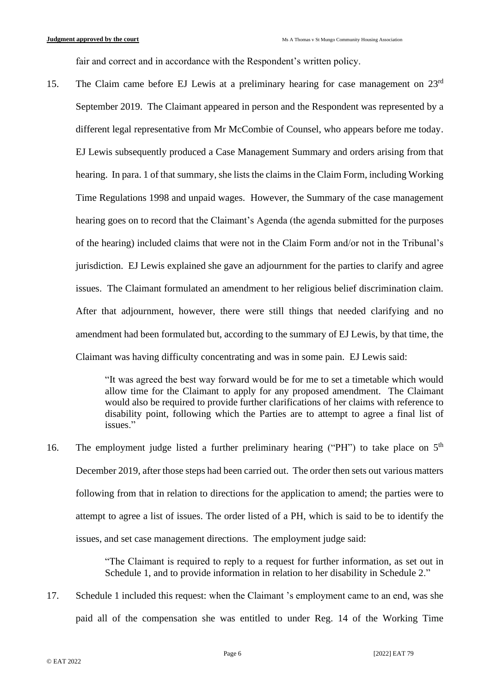fair and correct and in accordance with the Respondent's written policy.

15. The Claim came before EJ Lewis at a preliminary hearing for case management on 23<sup>rd</sup> September 2019. The Claimant appeared in person and the Respondent was represented by a different legal representative from Mr McCombie of Counsel, who appears before me today. EJ Lewis subsequently produced a Case Management Summary and orders arising from that hearing. In para. 1 of that summary, she lists the claims in the Claim Form, including Working Time Regulations 1998 and unpaid wages. However, the Summary of the case management hearing goes on to record that the Claimant's Agenda (the agenda submitted for the purposes of the hearing) included claims that were not in the Claim Form and/or not in the Tribunal's jurisdiction. EJ Lewis explained she gave an adjournment for the parties to clarify and agree issues. The Claimant formulated an amendment to her religious belief discrimination claim. After that adjournment, however, there were still things that needed clarifying and no amendment had been formulated but, according to the summary of EJ Lewis, by that time, the Claimant was having difficulty concentrating and was in some pain. EJ Lewis said:

> "It was agreed the best way forward would be for me to set a timetable which would allow time for the Claimant to apply for any proposed amendment. The Claimant would also be required to provide further clarifications of her claims with reference to disability point, following which the Parties are to attempt to agree a final list of issues."

16. The employment judge listed a further preliminary hearing ("PH") to take place on  $5<sup>th</sup>$ December 2019, after those steps had been carried out. The order then sets out various matters following from that in relation to directions for the application to amend; the parties were to attempt to agree a list of issues. The order listed of a PH, which is said to be to identify the issues, and set case management directions. The employment judge said:

> "The Claimant is required to reply to a request for further information, as set out in Schedule 1, and to provide information in relation to her disability in Schedule 2."

17. Schedule 1 included this request: when the Claimant 's employment came to an end, was she paid all of the compensation she was entitled to under Reg. 14 of the Working Time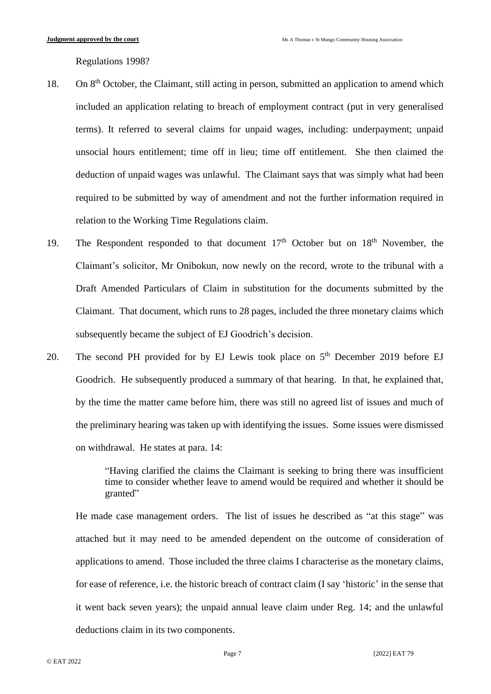Regulations 1998?

- 18. On 8<sup>th</sup> October, the Claimant, still acting in person, submitted an application to amend which included an application relating to breach of employment contract (put in very generalised terms). It referred to several claims for unpaid wages, including: underpayment; unpaid unsocial hours entitlement; time off in lieu; time off entitlement. She then claimed the deduction of unpaid wages was unlawful. The Claimant says that was simply what had been required to be submitted by way of amendment and not the further information required in relation to the Working Time Regulations claim.
- 19. The Respondent responded to that document  $17<sup>th</sup>$  October but on  $18<sup>th</sup>$  November, the Claimant's solicitor, Mr Onibokun, now newly on the record, wrote to the tribunal with a Draft Amended Particulars of Claim in substitution for the documents submitted by the Claimant. That document, which runs to 28 pages, included the three monetary claims which subsequently became the subject of EJ Goodrich's decision.
- 20. The second PH provided for by EJ Lewis took place on  $5<sup>th</sup>$  December 2019 before EJ Goodrich. He subsequently produced a summary of that hearing. In that, he explained that, by the time the matter came before him, there was still no agreed list of issues and much of the preliminary hearing was taken up with identifying the issues. Some issues were dismissed on withdrawal. He states at para. 14:

"Having clarified the claims the Claimant is seeking to bring there was insufficient time to consider whether leave to amend would be required and whether it should be granted"

He made case management orders. The list of issues he described as "at this stage" was attached but it may need to be amended dependent on the outcome of consideration of applications to amend. Those included the three claims I characterise as the monetary claims, for ease of reference, i.e. the historic breach of contract claim (I say 'historic' in the sense that it went back seven years); the unpaid annual leave claim under Reg. 14; and the unlawful deductions claim in its two components.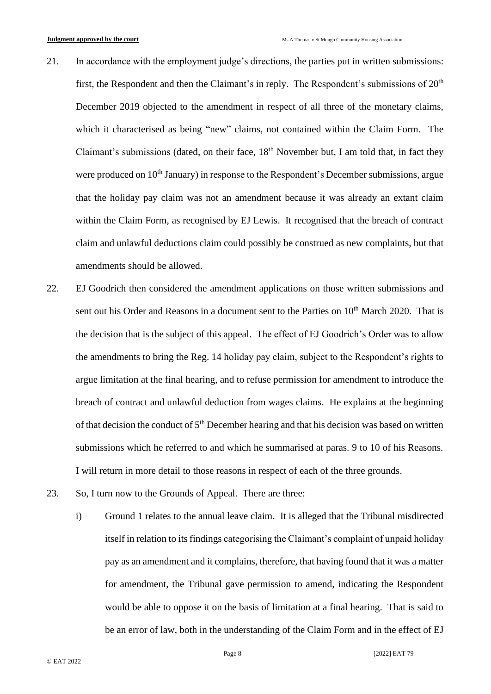- 21. In accordance with the employment judge's directions, the parties put in written submissions: first, the Respondent and then the Claimant's in reply. The Respondent's submissions of  $20<sup>th</sup>$ December 2019 objected to the amendment in respect of all three of the monetary claims, which it characterised as being "new" claims, not contained within the Claim Form. The Claimant's submissions (dated, on their face, 18<sup>th</sup> November but, I am told that, in fact they were produced on 10<sup>th</sup> January) in response to the Respondent's December submissions, argue that the holiday pay claim was not an amendment because it was already an extant claim within the Claim Form, as recognised by EJ Lewis. It recognised that the breach of contract claim and unlawful deductions claim could possibly be construed as new complaints, but that amendments should be allowed.
- 22. EJ Goodrich then considered the amendment applications on those written submissions and sent out his Order and Reasons in a document sent to the Parties on 10<sup>th</sup> March 2020. That is the decision that is the subject of this appeal. The effect of EJ Goodrich's Order was to allow the amendments to bring the Reg. 14 holiday pay claim, subject to the Respondent's rights to argue limitation at the final hearing, and to refuse permission for amendment to introduce the breach of contract and unlawful deduction from wages claims. He explains at the beginning of that decision the conduct of 5<sup>th</sup> December hearing and that his decision was based on written submissions which he referred to and which he summarised at paras. 9 to 10 of his Reasons. I will return in more detail to those reasons in respect of each of the three grounds.
- 23. So, I turn now to the Grounds of Appeal. There are three:
	- i) Ground 1 relates to the annual leave claim. It is alleged that the Tribunal misdirected itself in relation to its findings categorising the Claimant's complaint of unpaid holiday pay as an amendment and it complains, therefore, that having found that it was a matter for amendment, the Tribunal gave permission to amend, indicating the Respondent would be able to oppose it on the basis of limitation at a final hearing. That is said to be an error of law, both in the understanding of the Claim Form and in the effect of EJ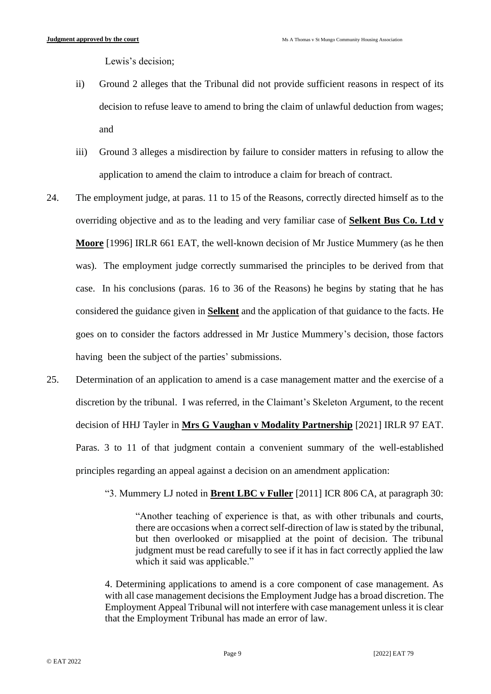Lewis's decision;

- ii) Ground 2 alleges that the Tribunal did not provide sufficient reasons in respect of its decision to refuse leave to amend to bring the claim of unlawful deduction from wages; and
- iii) Ground 3 alleges a misdirection by failure to consider matters in refusing to allow the application to amend the claim to introduce a claim for breach of contract.
- 24. The employment judge, at paras. 11 to 15 of the Reasons, correctly directed himself as to the overriding objective and as to the leading and very familiar case of **Selkent Bus Co. Ltd v Moore** [1996] IRLR 661 EAT, the well-known decision of Mr Justice Mummery (as he then was). The employment judge correctly summarised the principles to be derived from that case. In his conclusions (paras. 16 to 36 of the Reasons) he begins by stating that he has considered the guidance given in **Selkent** and the application of that guidance to the facts. He goes on to consider the factors addressed in Mr Justice Mummery's decision, those factors having been the subject of the parties' submissions.
- 25. Determination of an application to amend is a case management matter and the exercise of a discretion by the tribunal. I was referred, in the Claimant's Skeleton Argument, to the recent decision of HHJ Tayler in **Mrs G Vaughan v Modality Partnership** [2021] IRLR 97 EAT. Paras. 3 to 11 of that judgment contain a convenient summary of the well-established principles regarding an appeal against a decision on an amendment application:

"3. Mummery LJ noted in **Brent LBC v Fuller** [2011] ICR 806 CA, at paragraph 30:

"Another teaching of experience is that, as with other tribunals and courts, there are occasions when a correct self-direction of law is stated by the tribunal, but then overlooked or misapplied at the point of decision. The tribunal judgment must be read carefully to see if it has in fact correctly applied the law which it said was applicable."

4. Determining applications to amend is a core component of case management. As with all case management decisions the Employment Judge has a broad discretion. The Employment Appeal Tribunal will not interfere with case management unless it is clear that the Employment Tribunal has made an error of law.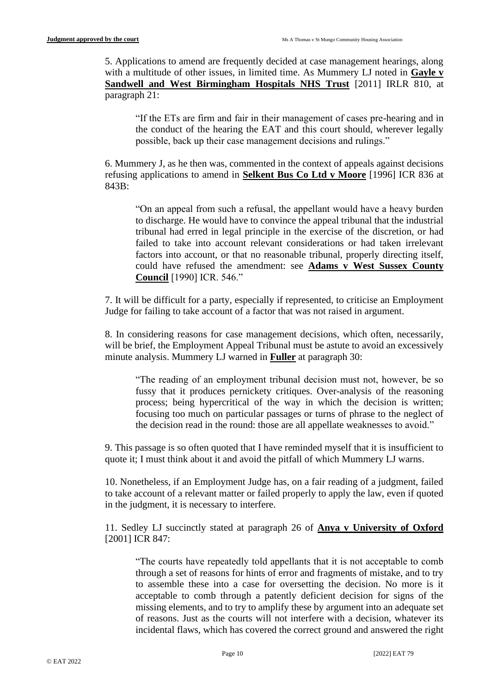5. Applications to amend are frequently decided at case management hearings, along with a multitude of other issues, in limited time. As Mummery LJ noted in **Gayle v Sandwell and West Birmingham Hospitals NHS Trust** [2011] IRLR 810, at paragraph 21:

"If the ETs are firm and fair in their management of cases pre-hearing and in the conduct of the hearing the EAT and this court should, wherever legally possible, back up their case management decisions and rulings."

6. Mummery J, as he then was, commented in the context of appeals against decisions refusing applications to amend in **Selkent Bus Co Ltd v Moore** [1996] ICR 836 at 843B:

"On an appeal from such a refusal, the appellant would have a heavy burden to discharge. He would have to convince the appeal tribunal that the industrial tribunal had erred in legal principle in the exercise of the discretion, or had failed to take into account relevant considerations or had taken irrelevant factors into account, or that no reasonable tribunal, properly directing itself, could have refused the amendment: see **Adams v West Sussex County Council** [1990] ICR. 546."

7. It will be difficult for a party, especially if represented, to criticise an Employment Judge for failing to take account of a factor that was not raised in argument.

8. In considering reasons for case management decisions, which often, necessarily, will be brief, the Employment Appeal Tribunal must be astute to avoid an excessively minute analysis. Mummery LJ warned in **Fuller** at paragraph 30:

"The reading of an employment tribunal decision must not, however, be so fussy that it produces pernickety critiques. Over-analysis of the reasoning process; being hypercritical of the way in which the decision is written; focusing too much on particular passages or turns of phrase to the neglect of the decision read in the round: those are all appellate weaknesses to avoid."

9. This passage is so often quoted that I have reminded myself that it is insufficient to quote it; I must think about it and avoid the pitfall of which Mummery LJ warns.

10. Nonetheless, if an Employment Judge has, on a fair reading of a judgment, failed to take account of a relevant matter or failed properly to apply the law, even if quoted in the judgment, it is necessary to interfere.

11. Sedley LJ succinctly stated at paragraph 26 of **Anya v University of Oxford** [2001] ICR 847:

"The courts have repeatedly told appellants that it is not acceptable to comb through a set of reasons for hints of error and fragments of mistake, and to try to assemble these into a case for oversetting the decision. No more is it acceptable to comb through a patently deficient decision for signs of the missing elements, and to try to amplify these by argument into an adequate set of reasons. Just as the courts will not interfere with a decision, whatever its incidental flaws, which has covered the correct ground and answered the right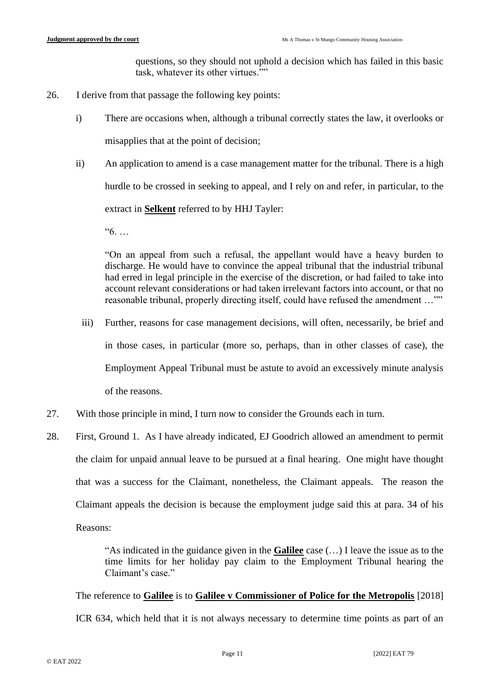questions, so they should not uphold a decision which has failed in this basic task, whatever its other virtues.""

- 26. I derive from that passage the following key points:
	- i) There are occasions when, although a tribunal correctly states the law, it overlooks or misapplies that at the point of decision;
	- ii) An application to amend is a case management matter for the tribunal. There is a high hurdle to be crossed in seeking to appeal, and I rely on and refer, in particular, to the extract in **Selkent** referred to by HHJ Tayler:

"6. …

"On an appeal from such a refusal, the appellant would have a heavy burden to discharge. He would have to convince the appeal tribunal that the industrial tribunal had erred in legal principle in the exercise of the discretion, or had failed to take into account relevant considerations or had taken irrelevant factors into account, or that no reasonable tribunal, properly directing itself, could have refused the amendment …""

- iii) Further, reasons for case management decisions, will often, necessarily, be brief and in those cases, in particular (more so, perhaps, than in other classes of case), the Employment Appeal Tribunal must be astute to avoid an excessively minute analysis of the reasons.
- 27. With those principle in mind, I turn now to consider the Grounds each in turn.
- 28. First, Ground 1. As I have already indicated, EJ Goodrich allowed an amendment to permit the claim for unpaid annual leave to be pursued at a final hearing. One might have thought that was a success for the Claimant, nonetheless, the Claimant appeals. The reason the Claimant appeals the decision is because the employment judge said this at para. 34 of his Reasons:

"As indicated in the guidance given in the **Galilee** case (…) I leave the issue as to the time limits for her holiday pay claim to the Employment Tribunal hearing the Claimant's case."

The reference to **Galilee** is to **Galilee v Commissioner of Police for the Metropolis** [2018]

ICR 634, which held that it is not always necessary to determine time points as part of an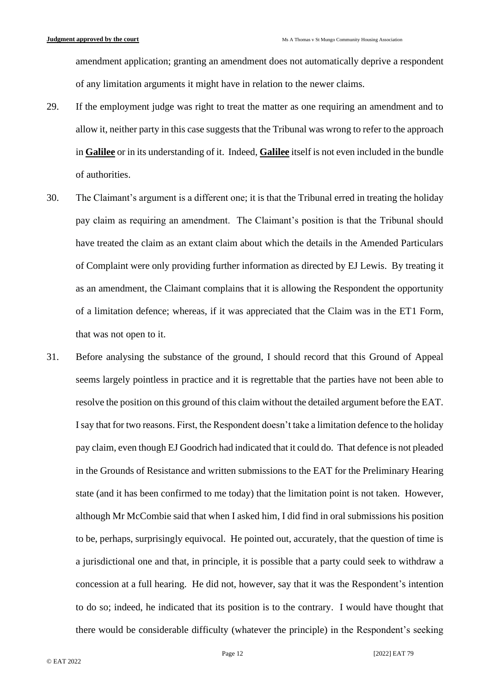amendment application; granting an amendment does not automatically deprive a respondent of any limitation arguments it might have in relation to the newer claims.

- 29. If the employment judge was right to treat the matter as one requiring an amendment and to allow it, neither party in this case suggests that the Tribunal was wrong to refer to the approach in **Galilee** or in its understanding of it. Indeed, **Galilee** itself is not even included in the bundle of authorities.
- 30. The Claimant's argument is a different one; it is that the Tribunal erred in treating the holiday pay claim as requiring an amendment. The Claimant's position is that the Tribunal should have treated the claim as an extant claim about which the details in the Amended Particulars of Complaint were only providing further information as directed by EJ Lewis. By treating it as an amendment, the Claimant complains that it is allowing the Respondent the opportunity of a limitation defence; whereas, if it was appreciated that the Claim was in the ET1 Form, that was not open to it.
- 31. Before analysing the substance of the ground, I should record that this Ground of Appeal seems largely pointless in practice and it is regrettable that the parties have not been able to resolve the position on this ground of this claim without the detailed argument before the EAT. I say that for two reasons. First, the Respondent doesn't take a limitation defence to the holiday pay claim, even though EJ Goodrich had indicated that it could do. That defence is not pleaded in the Grounds of Resistance and written submissions to the EAT for the Preliminary Hearing state (and it has been confirmed to me today) that the limitation point is not taken. However, although Mr McCombie said that when I asked him, I did find in oral submissions his position to be, perhaps, surprisingly equivocal. He pointed out, accurately, that the question of time is a jurisdictional one and that, in principle, it is possible that a party could seek to withdraw a concession at a full hearing. He did not, however, say that it was the Respondent's intention to do so; indeed, he indicated that its position is to the contrary. I would have thought that there would be considerable difficulty (whatever the principle) in the Respondent's seeking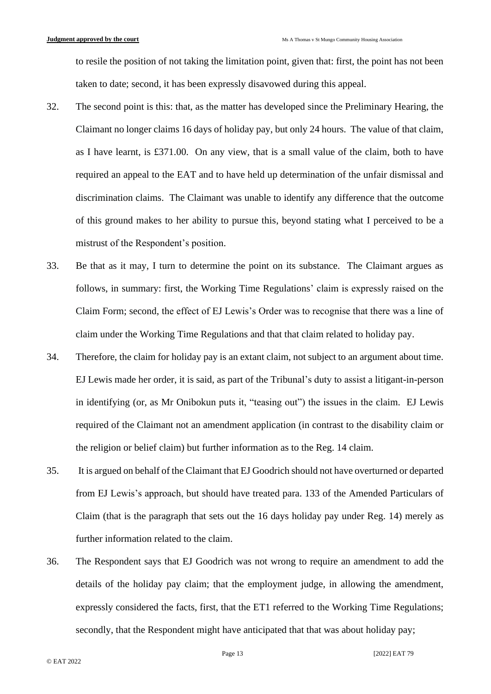to resile the position of not taking the limitation point, given that: first, the point has not been taken to date; second, it has been expressly disavowed during this appeal.

- 32. The second point is this: that, as the matter has developed since the Preliminary Hearing, the Claimant no longer claims 16 days of holiday pay, but only 24 hours. The value of that claim, as I have learnt, is £371.00. On any view, that is a small value of the claim, both to have required an appeal to the EAT and to have held up determination of the unfair dismissal and discrimination claims. The Claimant was unable to identify any difference that the outcome of this ground makes to her ability to pursue this, beyond stating what I perceived to be a mistrust of the Respondent's position.
- 33. Be that as it may, I turn to determine the point on its substance. The Claimant argues as follows, in summary: first, the Working Time Regulations' claim is expressly raised on the Claim Form; second, the effect of EJ Lewis's Order was to recognise that there was a line of claim under the Working Time Regulations and that that claim related to holiday pay.
- 34. Therefore, the claim for holiday pay is an extant claim, not subject to an argument about time. EJ Lewis made her order, it is said, as part of the Tribunal's duty to assist a litigant-in-person in identifying (or, as Mr Onibokun puts it, "teasing out") the issues in the claim. EJ Lewis required of the Claimant not an amendment application (in contrast to the disability claim or the religion or belief claim) but further information as to the Reg. 14 claim.
- 35. It is argued on behalf of the Claimant that EJ Goodrich should not have overturned or departed from EJ Lewis's approach, but should have treated para. 133 of the Amended Particulars of Claim (that is the paragraph that sets out the 16 days holiday pay under Reg. 14) merely as further information related to the claim.
- 36. The Respondent says that EJ Goodrich was not wrong to require an amendment to add the details of the holiday pay claim; that the employment judge, in allowing the amendment, expressly considered the facts, first, that the ET1 referred to the Working Time Regulations; secondly, that the Respondent might have anticipated that that was about holiday pay;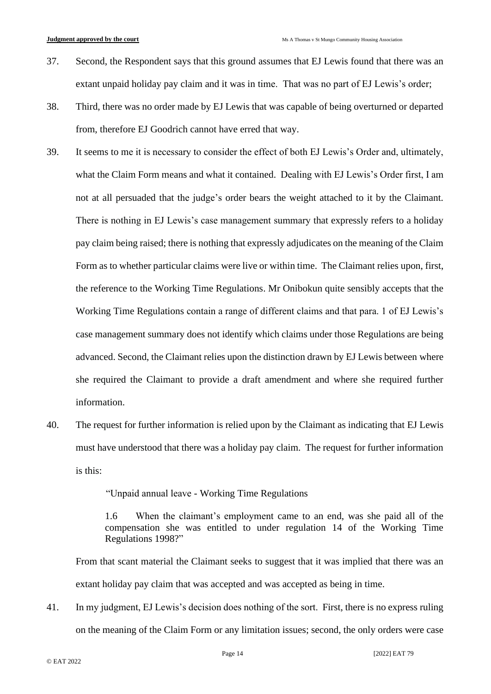- 37. Second, the Respondent says that this ground assumes that EJ Lewis found that there was an extant unpaid holiday pay claim and it was in time. That was no part of EJ Lewis's order;
- 38. Third, there was no order made by EJ Lewis that was capable of being overturned or departed from, therefore EJ Goodrich cannot have erred that way.
- 39. It seems to me it is necessary to consider the effect of both EJ Lewis's Order and, ultimately, what the Claim Form means and what it contained. Dealing with EJ Lewis's Order first, I am not at all persuaded that the judge's order bears the weight attached to it by the Claimant. There is nothing in EJ Lewis's case management summary that expressly refers to a holiday pay claim being raised; there is nothing that expressly adjudicates on the meaning of the Claim Form as to whether particular claims were live or within time. The Claimant relies upon, first, the reference to the Working Time Regulations. Mr Onibokun quite sensibly accepts that the Working Time Regulations contain a range of different claims and that para. 1 of EJ Lewis's case management summary does not identify which claims under those Regulations are being advanced. Second, the Claimant relies upon the distinction drawn by EJ Lewis between where she required the Claimant to provide a draft amendment and where she required further information.
- 40. The request for further information is relied upon by the Claimant as indicating that EJ Lewis must have understood that there was a holiday pay claim. The request for further information is this:

"Unpaid annual leave - Working Time Regulations

1.6 When the claimant's employment came to an end, was she paid all of the compensation she was entitled to under regulation 14 of the Working Time Regulations 1998?"

From that scant material the Claimant seeks to suggest that it was implied that there was an extant holiday pay claim that was accepted and was accepted as being in time.

41. In my judgment, EJ Lewis's decision does nothing of the sort. First, there is no express ruling on the meaning of the Claim Form or any limitation issues; second, the only orders were case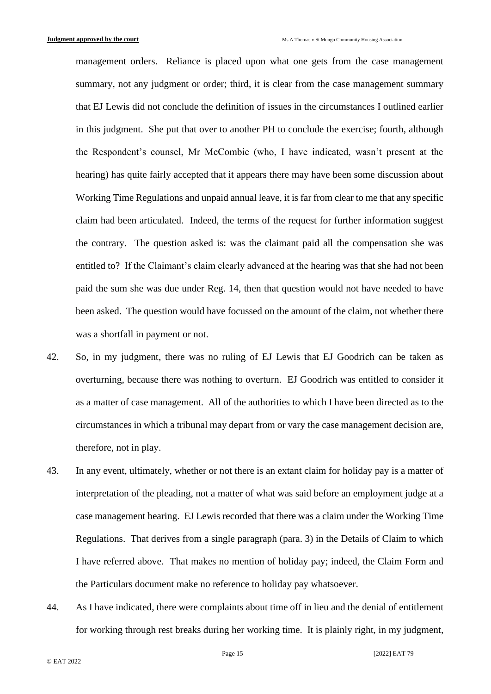management orders. Reliance is placed upon what one gets from the case management summary, not any judgment or order; third, it is clear from the case management summary that EJ Lewis did not conclude the definition of issues in the circumstances I outlined earlier in this judgment. She put that over to another PH to conclude the exercise; fourth, although the Respondent's counsel, Mr McCombie (who, I have indicated, wasn't present at the hearing) has quite fairly accepted that it appears there may have been some discussion about Working Time Regulations and unpaid annual leave, it is far from clear to me that any specific claim had been articulated. Indeed, the terms of the request for further information suggest the contrary. The question asked is: was the claimant paid all the compensation she was entitled to? If the Claimant's claim clearly advanced at the hearing was that she had not been paid the sum she was due under Reg. 14, then that question would not have needed to have been asked. The question would have focussed on the amount of the claim, not whether there was a shortfall in payment or not.

- 42. So, in my judgment, there was no ruling of EJ Lewis that EJ Goodrich can be taken as overturning, because there was nothing to overturn. EJ Goodrich was entitled to consider it as a matter of case management. All of the authorities to which I have been directed as to the circumstances in which a tribunal may depart from or vary the case management decision are, therefore, not in play.
- 43. In any event, ultimately, whether or not there is an extant claim for holiday pay is a matter of interpretation of the pleading, not a matter of what was said before an employment judge at a case management hearing. EJ Lewis recorded that there was a claim under the Working Time Regulations. That derives from a single paragraph (para. 3) in the Details of Claim to which I have referred above. That makes no mention of holiday pay; indeed, the Claim Form and the Particulars document make no reference to holiday pay whatsoever.
- 44. As I have indicated, there were complaints about time off in lieu and the denial of entitlement for working through rest breaks during her working time. It is plainly right, in my judgment,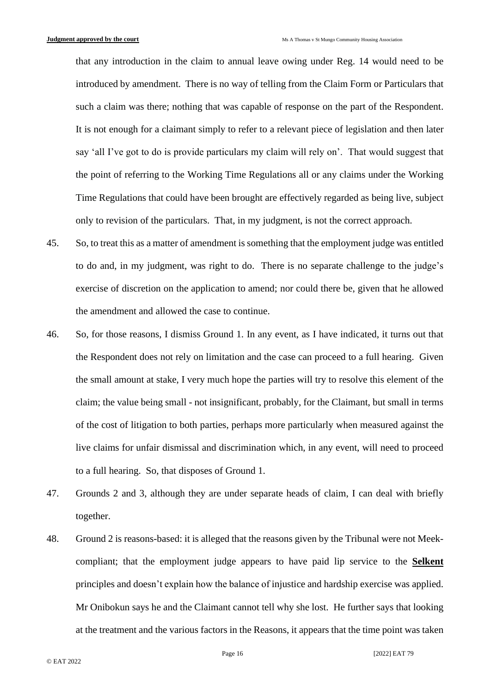that any introduction in the claim to annual leave owing under Reg. 14 would need to be introduced by amendment. There is no way of telling from the Claim Form or Particulars that such a claim was there; nothing that was capable of response on the part of the Respondent. It is not enough for a claimant simply to refer to a relevant piece of legislation and then later say 'all I've got to do is provide particulars my claim will rely on'. That would suggest that the point of referring to the Working Time Regulations all or any claims under the Working Time Regulations that could have been brought are effectively regarded as being live, subject only to revision of the particulars. That, in my judgment, is not the correct approach.

- 45. So, to treat this as a matter of amendment is something that the employment judge was entitled to do and, in my judgment, was right to do. There is no separate challenge to the judge's exercise of discretion on the application to amend; nor could there be, given that he allowed the amendment and allowed the case to continue.
- 46. So, for those reasons, I dismiss Ground 1. In any event, as I have indicated, it turns out that the Respondent does not rely on limitation and the case can proceed to a full hearing. Given the small amount at stake, I very much hope the parties will try to resolve this element of the claim; the value being small - not insignificant, probably, for the Claimant, but small in terms of the cost of litigation to both parties, perhaps more particularly when measured against the live claims for unfair dismissal and discrimination which, in any event, will need to proceed to a full hearing. So, that disposes of Ground 1.
- 47. Grounds 2 and 3, although they are under separate heads of claim, I can deal with briefly together.
- 48. Ground 2 is reasons-based: it is alleged that the reasons given by the Tribunal were not Meekcompliant; that the employment judge appears to have paid lip service to the **Selkent** principles and doesn't explain how the balance of injustice and hardship exercise was applied. Mr Onibokun says he and the Claimant cannot tell why she lost. He further says that looking at the treatment and the various factors in the Reasons, it appears that the time point was taken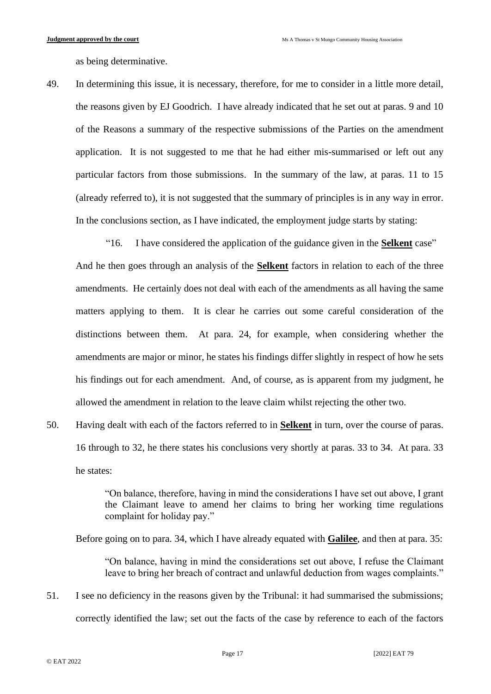as being determinative.

49. In determining this issue, it is necessary, therefore, for me to consider in a little more detail, the reasons given by EJ Goodrich. I have already indicated that he set out at paras. 9 and 10 of the Reasons a summary of the respective submissions of the Parties on the amendment application. It is not suggested to me that he had either mis-summarised or left out any particular factors from those submissions. In the summary of the law, at paras. 11 to 15 (already referred to), it is not suggested that the summary of principles is in any way in error. In the conclusions section, as I have indicated, the employment judge starts by stating:

"16. I have considered the application of the guidance given in the **Selkent** case" And he then goes through an analysis of the **Selkent** factors in relation to each of the three amendments. He certainly does not deal with each of the amendments as all having the same matters applying to them. It is clear he carries out some careful consideration of the distinctions between them. At para. 24, for example, when considering whether the amendments are major or minor, he states his findings differ slightly in respect of how he sets his findings out for each amendment. And, of course, as is apparent from my judgment, he allowed the amendment in relation to the leave claim whilst rejecting the other two.

50. Having dealt with each of the factors referred to in **Selkent** in turn, over the course of paras. 16 through to 32, he there states his conclusions very shortly at paras. 33 to 34. At para. 33 he states:

> "On balance, therefore, having in mind the considerations I have set out above, I grant the Claimant leave to amend her claims to bring her working time regulations complaint for holiday pay."

Before going on to para. 34, which I have already equated with **Galilee**, and then at para. 35:

"On balance, having in mind the considerations set out above, I refuse the Claimant leave to bring her breach of contract and unlawful deduction from wages complaints."

51. I see no deficiency in the reasons given by the Tribunal: it had summarised the submissions; correctly identified the law; set out the facts of the case by reference to each of the factors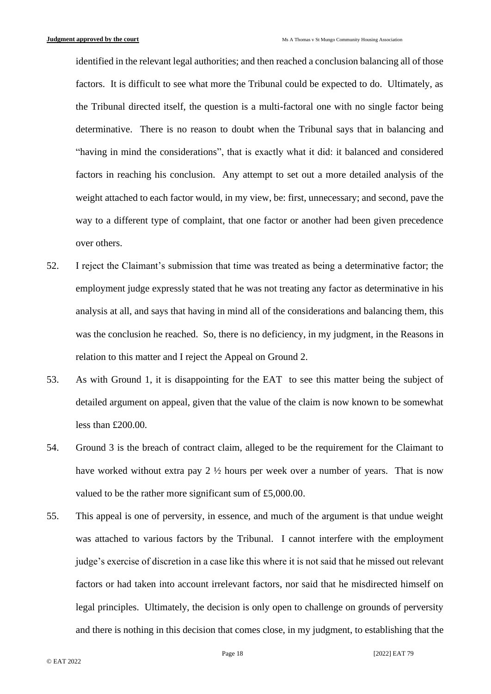identified in the relevant legal authorities; and then reached a conclusion balancing all of those factors. It is difficult to see what more the Tribunal could be expected to do. Ultimately, as the Tribunal directed itself, the question is a multi-factoral one with no single factor being determinative. There is no reason to doubt when the Tribunal says that in balancing and "having in mind the considerations", that is exactly what it did: it balanced and considered factors in reaching his conclusion. Any attempt to set out a more detailed analysis of the weight attached to each factor would, in my view, be: first, unnecessary; and second, pave the way to a different type of complaint, that one factor or another had been given precedence over others.

- 52. I reject the Claimant's submission that time was treated as being a determinative factor; the employment judge expressly stated that he was not treating any factor as determinative in his analysis at all, and says that having in mind all of the considerations and balancing them, this was the conclusion he reached. So, there is no deficiency, in my judgment, in the Reasons in relation to this matter and I reject the Appeal on Ground 2.
- 53. As with Ground 1, it is disappointing for the EAT to see this matter being the subject of detailed argument on appeal, given that the value of the claim is now known to be somewhat less than £200.00.
- 54. Ground 3 is the breach of contract claim, alleged to be the requirement for the Claimant to have worked without extra pay 2 ½ hours per week over a number of years. That is now valued to be the rather more significant sum of £5,000.00.
- 55. This appeal is one of perversity, in essence, and much of the argument is that undue weight was attached to various factors by the Tribunal. I cannot interfere with the employment judge's exercise of discretion in a case like this where it is not said that he missed out relevant factors or had taken into account irrelevant factors, nor said that he misdirected himself on legal principles. Ultimately, the decision is only open to challenge on grounds of perversity and there is nothing in this decision that comes close, in my judgment, to establishing that the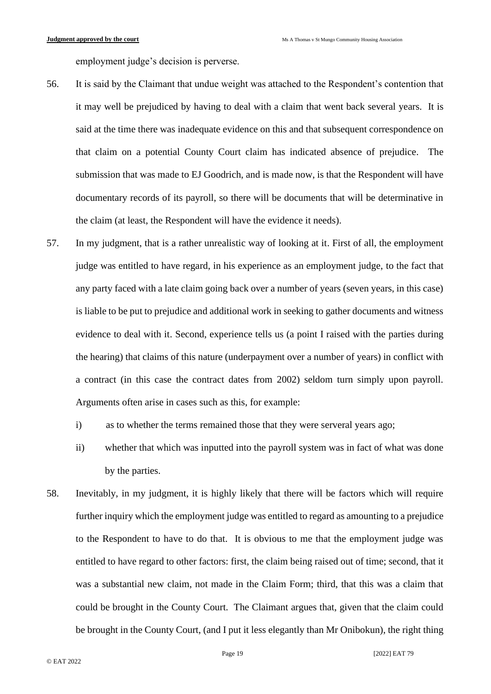employment judge's decision is perverse.

- 56. It is said by the Claimant that undue weight was attached to the Respondent's contention that it may well be prejudiced by having to deal with a claim that went back several years. It is said at the time there was inadequate evidence on this and that subsequent correspondence on that claim on a potential County Court claim has indicated absence of prejudice. The submission that was made to EJ Goodrich, and is made now, is that the Respondent will have documentary records of its payroll, so there will be documents that will be determinative in the claim (at least, the Respondent will have the evidence it needs).
- 57. In my judgment, that is a rather unrealistic way of looking at it. First of all, the employment judge was entitled to have regard, in his experience as an employment judge, to the fact that any party faced with a late claim going back over a number of years (seven years, in this case) is liable to be put to prejudice and additional work in seeking to gather documents and witness evidence to deal with it. Second, experience tells us (a point I raised with the parties during the hearing) that claims of this nature (underpayment over a number of years) in conflict with a contract (in this case the contract dates from 2002) seldom turn simply upon payroll. Arguments often arise in cases such as this, for example:
	- i) as to whether the terms remained those that they were serveral years ago;
	- ii) whether that which was inputted into the payroll system was in fact of what was done by the parties.
- 58. Inevitably, in my judgment, it is highly likely that there will be factors which will require further inquiry which the employment judge was entitled to regard as amounting to a prejudice to the Respondent to have to do that. It is obvious to me that the employment judge was entitled to have regard to other factors: first, the claim being raised out of time; second, that it was a substantial new claim, not made in the Claim Form; third, that this was a claim that could be brought in the County Court. The Claimant argues that, given that the claim could be brought in the County Court, (and I put it less elegantly than Mr Onibokun), the right thing